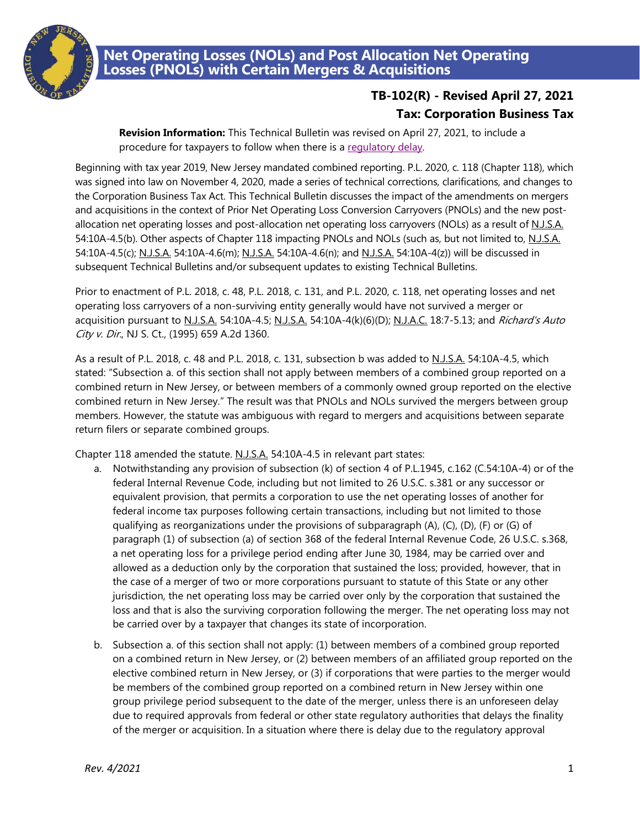

## **Net Operating Losses (NOLs) and Post Allocation Net Operating Losses (PNOLs) with Certain Mergers & Acquisitions**

## **TB-102(R) - Revised April 27, 2021 Tax: Corporation Business Tax**

**Revision Information:** This Technical Bulletin was revised on April 27, 2021, to include a procedure for taxpayers to follow when there is a [regulatory delay.](#page-1-0)

Beginning with tax year 2019, New Jersey mandated combined reporting. P.L. 2020, c. 118 (Chapter 118), which was signed into law on November 4, 2020, made a series of technical corrections, clarifications, and changes to the Corporation Business Tax Act. This Technical Bulletin discusses the impact of the amendments on mergers and acquisitions in the context of Prior Net Operating Loss Conversion Carryovers (PNOLs) and the new postallocation net operating losses and post-allocation net operating loss carryovers (NOLs) as a result of N.J.S.A. 54:10A-4.5(b). Other aspects of Chapter 118 impacting PNOLs and NOLs (such as, but not limited to, N.J.S.A. 54:10A-4.5(c); N.J.S.A. 54:10A-4.6(m); N.J.S.A. 54:10A-4.6(n); and N.J.S.A. 54:10A-4(z)) will be discussed in subsequent Technical Bulletins and/or subsequent updates to existing Technical Bulletins.

Prior to enactment of P.L. 2018, c. 48, P.L. 2018, c. 131, and P.L. 2020, c. 118, net operating losses and net operating loss carryovers of a non-surviving entity generally would have not survived a merger or acquisition pursuant to N.J.S.A. 54:10A-4.5; N.J.S.A. 54:10A-4(k)(6)(D); N.J.A.C. 18:7-5.13; and Richard's Auto City v. Dir., NJ S. Ct., (1995) 659 A.2d 1360.

As a result of P.L. 2018, c. 48 and P.L. 2018, c. 131, subsection b was added to N.J.S.A. 54:10A-4.5, which stated: "Subsection a. of this section shall not apply between members of a combined group reported on a combined return in New Jersey, or between members of a commonly owned group reported on the elective combined return in New Jersey." The result was that PNOLs and NOLs survived the mergers between group members. However, the statute was ambiguous with regard to mergers and acquisitions between separate return filers or separate combined groups.

Chapter 118 amended the statute. N.J.S.A. 54:10A-4.5 in relevant part states:

- a. Notwithstanding any provision of subsection (k) of section 4 of P.L.1945, c.162 (C.54:10A-4) or of the federal Internal Revenue Code, including but not limited to 26 U.S.C. s.381 or any successor or equivalent provision, that permits a corporation to use the net operating losses of another for federal income tax purposes following certain transactions, including but not limited to those qualifying as reorganizations under the provisions of subparagraph (A), (C), (D), (F) or (G) of paragraph (1) of subsection (a) of section 368 of the federal Internal Revenue Code, 26 U.S.C. s.368, a net operating loss for a privilege period ending after June 30, 1984, may be carried over and allowed as a deduction only by the corporation that sustained the loss; provided, however, that in the case of a merger of two or more corporations pursuant to statute of this State or any other jurisdiction, the net operating loss may be carried over only by the corporation that sustained the loss and that is also the surviving corporation following the merger. The net operating loss may not be carried over by a taxpayer that changes its state of incorporation.
- b. Subsection a. of this section shall not apply: (1) between members of a combined group reported on a combined return in New Jersey, or (2) between members of an affiliated group reported on the elective combined return in New Jersey, or (3) if corporations that were parties to the merger would be members of the combined group reported on a combined return in New Jersey within one group privilege period subsequent to the date of the merger, unless there is an unforeseen delay due to required approvals from federal or other state regulatory authorities that delays the finality of the merger or acquisition. In a situation where there is delay due to the regulatory approval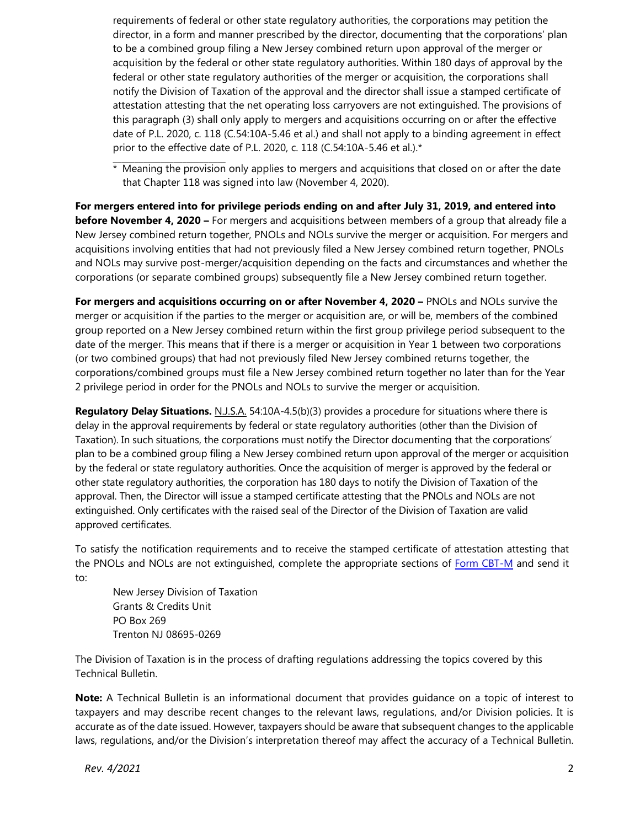requirements of federal or other state regulatory authorities, the corporations may petition the director, in a form and manner prescribed by the director, documenting that the corporations' plan to be a combined group filing a New Jersey combined return upon approval of the merger or acquisition by the federal or other state regulatory authorities. Within 180 days of approval by the federal or other state regulatory authorities of the merger or acquisition, the corporations shall notify the Division of Taxation of the approval and the director shall issue a stamped certificate of attestation attesting that the net operating loss carryovers are not extinguished. The provisions of this paragraph (3) shall only apply to mergers and acquisitions occurring on or after the effective date of P.L. 2020, c. 118 (C.54:10A-5.46 et al.) and shall not apply to a binding agreement in effect prior to the effective date of P.L. 2020, c. 118 (C.54:10A-5.46 et al.).\*

 $*$  Meaning the provision only applies to mergers and acquisitions that closed on or after the date that Chapter 118 was signed into law (November 4, 2020).

**For mergers entered into for privilege periods ending on and after July 31, 2019, and entered into before November 4, 2020 –** For mergers and acquisitions between members of a group that already file a New Jersey combined return together, PNOLs and NOLs survive the merger or acquisition. For mergers and acquisitions involving entities that had not previously filed a New Jersey combined return together, PNOLs and NOLs may survive post-merger/acquisition depending on the facts and circumstances and whether the corporations (or separate combined groups) subsequently file a New Jersey combined return together.

**For mergers and acquisitions occurring on or after November 4, 2020 –** PNOLs and NOLs survive the merger or acquisition if the parties to the merger or acquisition are, or will be, members of the combined group reported on a New Jersey combined return within the first group privilege period subsequent to the date of the merger. This means that if there is a merger or acquisition in Year 1 between two corporations (or two combined groups) that had not previously filed New Jersey combined returns together, the corporations/combined groups must file a New Jersey combined return together no later than for the Year 2 privilege period in order for the PNOLs and NOLs to survive the merger or acquisition.

<span id="page-1-0"></span>**Regulatory Delay Situations.** N.J.S.A. 54:10A-4.5(b)(3) provides a procedure for situations where there is delay in the approval requirements by federal or state regulatory authorities (other than the Division of Taxation). In such situations, the corporations must notify the Director documenting that the corporations' plan to be a combined group filing a New Jersey combined return upon approval of the merger or acquisition by the federal or state regulatory authorities. Once the acquisition of merger is approved by the federal or other state regulatory authorities, the corporation has 180 days to notify the Division of Taxation of the approval. Then, the Director will issue a stamped certificate attesting that the PNOLs and NOLs are not extinguished. Only certificates with the raised seal of the Director of the Division of Taxation are valid approved certificates.

To satisfy the notification requirements and to receive the stamped certificate of attestation attesting that the PNOLs and NOLs are not extinguished, complete the appropriate sections of [Form CBT-M](https://www.nj.gov/treasury/taxation/pdf/pubs/corp/cbtm.pdf) and send it to:

New Jersey Division of Taxation Grants & Credits Unit PO Box 269 Trenton NJ 08695-0269

The Division of Taxation is in the process of drafting regulations addressing the topics covered by this Technical Bulletin.

**Note:** A Technical Bulletin is an informational document that provides guidance on a topic of interest to taxpayers and may describe recent changes to the relevant laws, regulations, and/or Division policies. It is accurate as of the date issued. However, taxpayers should be aware that subsequent changes to the applicable laws, regulations, and/or the Division's interpretation thereof may affect the accuracy of a Technical Bulletin.